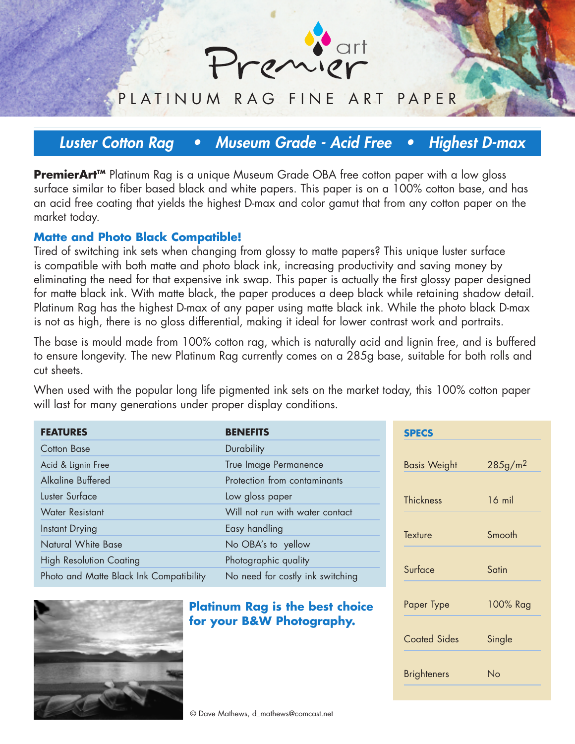

### PLATINUM RAG FINE ART PAPER

## **Luster Cotton Rag • Museum Grade - Acid Free • Highest D-max**

**PremierArt™** Platinum Rag is a unique Museum Grade OBA free cotton paper with a low gloss surface similar to fiber based black and white papers. This paper is on a 100% cotton base, and has an acid free coating that yields the highest D-max and color gamut that from any cotton paper on the market today.

#### **Matte and Photo Black Compatible!**

Tired of switching ink sets when changing from glossy to matte papers? This unique luster surface is compatible with both matte and photo black ink, increasing productivity and saving money by eliminating the need for that expensive ink swap. This paper is actually the first glossy paper designed for matte black ink. With matte black, the paper produces a deep black while retaining shadow detail. Platinum Rag has the highest D-max of any paper using matte black ink. While the photo black D-max is not as high, there is no gloss differential, making it ideal for lower contrast work and portraits.

The base is mould made from 100% cotton rag, which is naturally acid and lignin free, and is buffered to ensure longevity. The new Platinum Rag currently comes on a 285g base, suitable for both rolls and cut sheets.

When used with the popular long life pigmented ink sets on the market today, this 100% cotton paper will last for many generations under proper display conditions.

| <b>FEATURES</b>                         | <b>BENEFITS</b>                  | <b>SPECS</b>        |  |
|-----------------------------------------|----------------------------------|---------------------|--|
| <b>Cotton Base</b>                      | <b>Durability</b>                |                     |  |
| Acid & Lignin Free                      | True Image Permanence            | <b>Basis Weight</b> |  |
| Alkaline Buffered                       | Protection from contaminants     |                     |  |
| Luster Surface                          | Low gloss paper                  | <b>Thickness</b>    |  |
| <b>Water Resistant</b>                  | Will not run with water contact  |                     |  |
| <b>Instant Drying</b>                   | Easy handling                    | Texture             |  |
| Natural White Base                      | No OBA's to yellow               |                     |  |
| <b>High Resolution Coating</b>          | Photographic quality             |                     |  |
| Photo and Matte Black Ink Compatibility | No need for costly ink switching | Surface             |  |



**Platinum Rag is the best choice for your B&W Photography.**

 $285g/m<sup>2</sup>$ 16 mil Smooth Satin Paper Type 100% Rag Coated Sides Single Brighteners No